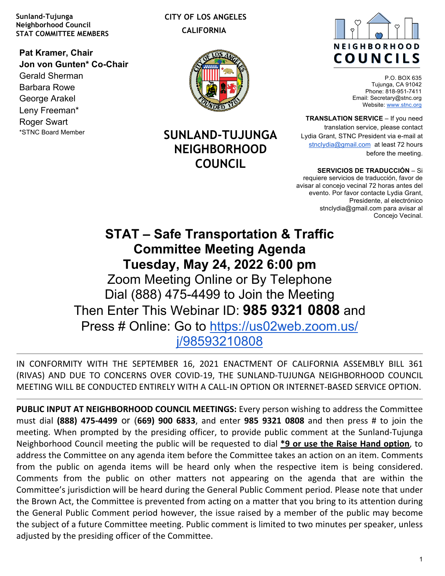**Sunland-Tujunga Neighborhood Council STAT COMMITTEE MEMBERS**

**Pat Kramer, Chair Jon von Gunten\* Co-Chair** Gerald Sherman Barbara Rowe George Arakel Leny Freeman\* Roger Swart \*STNC Board Member

 **CITY OF LOS ANGELES CALIFORNIA**



**SUNLAND-TUJUNGA NEIGHBORHOOD COUNCIL**



P.O. BOX 635 Tujunga, CA 91042 Phone: 818-951-7411 Email: Secretary@stnc.org Website: www.stnc.org

**TRANSLATION SERVICE** – If you need translation service, please contact Lydia Grant, STNC President via e-mail at stnclydia@gmail.com at least 72 hours before the meeting.

**SERVICIOS DE TRADUCCIÓN** – Si requiere servicios de traducción, favor de avisar al concejo vecinal 72 horas antes del evento. Por favor contacte Lydia Grant, Presidente, al electrónico stnclydia@gmail.com para avisar al Concejo Vecinal.

**STAT – Safe Transportation & Traffic Committee Meeting Agenda Tuesday, May 24, 2022 6:00 pm** Zoom Meeting Online or By Telephone Dial (888) 475-4499 to Join the Meeting Then Enter This Webinar ID: **985 9321 0808** and Press # Online: Go to https://us02web.zoom.us/ j/98593210808

IN CONFORMITY WITH THE SEPTEMBER 16, 2021 ENACTMENT OF CALIFORNIA ASSEMBLY BILL 361 (RIVAS) AND DUE TO CONCERNS OVER COVID-19, THE SUNLAND-TUJUNGA NEIGHBORHOOD COUNCIL MEETING WILL BE CONDUCTED ENTIRELY WITH A CALL-IN OPTION OR INTERNET-BASED SERVICE OPTION.

**PUBLIC INPUT AT NEIGHBORHOOD COUNCIL MEETINGS:** Every person wishing to address the Committee must dial **(888) 475-4499** or (**669) 900 6833**, and enter **985 9321 0808** and then press # to join the meeting. When prompted by the presiding officer, to provide public comment at the Sunland-Tujunga Neighborhood Council meeting the public will be requested to dial **\*9 or use the Raise Hand option**, to address the Committee on any agenda item before the Committee takes an action on an item. Comments from the public on agenda items will be heard only when the respective item is being considered. Comments from the public on other matters not appearing on the agenda that are within the Committee's jurisdiction will be heard during the General Public Comment period. Please note that under the Brown Act, the Committee is prevented from acting on a matter that you bring to its attention during the General Public Comment period however, the issue raised by a member of the public may become the subject of a future Committee meeting. Public comment is limited to two minutes per speaker, unless adjusted by the presiding officer of the Committee.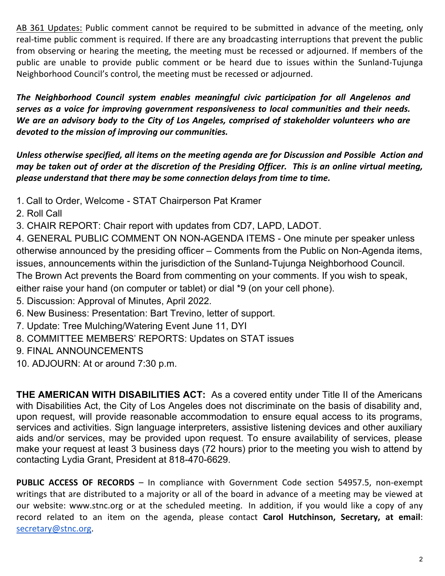AB 361 Updates: Public comment cannot be required to be submitted in advance of the meeting, only real-time public comment is required. If there are any broadcasting interruptions that prevent the public from observing or hearing the meeting, the meeting must be recessed or adjourned. If members of the public are unable to provide public comment or be heard due to issues within the Sunland-Tujunga Neighborhood Council's control, the meeting must be recessed or adjourned.

The Neighborhood Council system enables meaningful civic participation for all Angelenos and *serves as a voice for improving government responsiveness to local communities and their needs.* We are an advisory body to the City of Los Angeles, comprised of stakeholder volunteers who are devoted to the mission of improving our communities.

Unless otherwise specified, all items on the meeting agenda are for Discussion and Possible Action and *may* be taken out of order at the discretion of the Presiding Officer. This is an online virtual meeting, please understand that there may be some connection delays from time to time.

- 1. Call to Order, Welcome STAT Chairperson Pat Kramer
- 2. Roll Call
- 3. CHAIR REPORT: Chair report with updates from CD7, LAPD, LADOT.

4. GENERAL PUBLIC COMMENT ON NON-AGENDA ITEMS - One minute per speaker unless otherwise announced by the presiding officer – Comments from the Public on Non-Agenda items, issues, announcements within the jurisdiction of the Sunland-Tujunga Neighborhood Council. The Brown Act prevents the Board from commenting on your comments. If you wish to speak, either raise your hand (on computer or tablet) or dial \*9 (on your cell phone).

- 5. Discussion: Approval of Minutes, April 2022.
- 6. New Business: Presentation: Bart Trevino, letter of support.
- 7. Update: Tree Mulching/Watering Event June 11, DYI
- 8. COMMITTEE MEMBERS' REPORTS: Updates on STAT issues
- 9. FINAL ANNOUNCEMENTS
- 10. ADJOURN: At or around 7:30 p.m.

**THE AMERICAN WITH DISABILITIES ACT:** As a covered entity under Title II of the Americans with Disabilities Act, the City of Los Angeles does not discriminate on the basis of disability and, upon request, will provide reasonable accommodation to ensure equal access to its programs, services and activities. Sign language interpreters, assistive listening devices and other auxiliary aids and/or services, may be provided upon request. To ensure availability of services, please make your request at least 3 business days (72 hours) prior to the meeting you wish to attend by contacting Lydia Grant, President at 818-470-6629.

**PUBLIC ACCESS OF RECORDS** – In compliance with Government Code section 54957.5, non-exempt writings that are distributed to a majority or all of the board in advance of a meeting may be viewed at our website: www.stnc.org or at the scheduled meeting. In addition, if you would like a copy of any record related to an item on the agenda, please contact **Carol Hutchinson, Secretary, at email**: secretary@stnc.org.